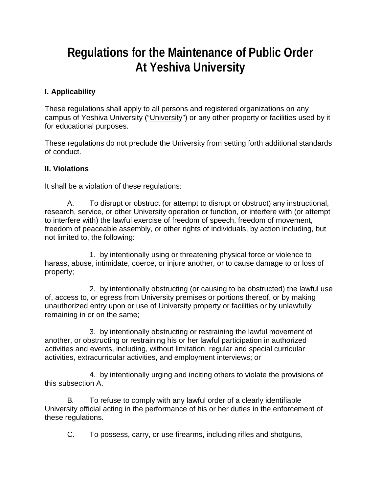# **Regulations for the Maintenance of Public Order At Yeshiva University**

## **I. Applicability**

These regulations shall apply to all persons and registered organizations on any campus of Yeshiva University ("University") or any other property or facilities used by it for educational purposes.

These regulations do not preclude the University from setting forth additional standards of conduct.

#### **II. Violations**

It shall be a violation of these regulations:

A. To disrupt or obstruct (or attempt to disrupt or obstruct) any instructional, research, service, or other University operation or function, or interfere with (or attempt to interfere with) the lawful exercise of freedom of speech, freedom of movement, freedom of peaceable assembly, or other rights of individuals, by action including, but not limited to, the following:

1. by intentionally using or threatening physical force or violence to harass, abuse, intimidate, coerce, or injure another, or to cause damage to or loss of property;

2. by intentionally obstructing (or causing to be obstructed) the lawful use of, access to, or egress from University premises or portions thereof, or by making unauthorized entry upon or use of University property or facilities or by unlawfully remaining in or on the same;

3. by intentionally obstructing or restraining the lawful movement of another, or obstructing or restraining his or her lawful participation in authorized activities and events, including, without limitation, regular and special curricular activities, extracurricular activities, and employment interviews; or

4. by intentionally urging and inciting others to violate the provisions of this subsection A.

B*.* To refuse to comply with any lawful order of a clearly identifiable University official acting in the performance of his or her duties in the enforcement of these regulations.

C. To possess, carry, or use firearms, including rifles and shotguns,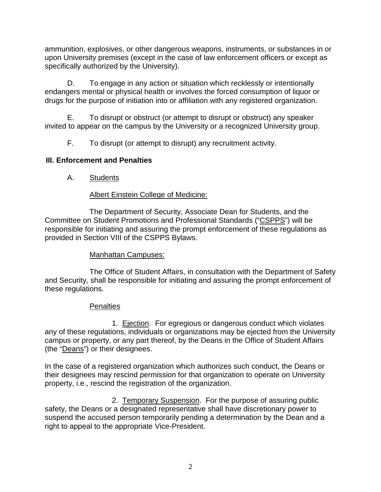ammunition, explosives, or other dangerous weapons, instruments, or substances in or upon University premises (except in the case of law enforcement officers or except as specifically authorized by the University).

D. To engage in any action or situation which recklessly or intentionally endangers mental or physical health or involves the forced consumption of liquor or drugs for the purpose of initiation into or affiliation with any registered organization.

E. To disrupt or obstruct (or attempt to disrupt or obstruct) any speaker invited to appear on the campus by the University or a recognized University group.

F. To disrupt (or attempt to disrupt) any recruitment activity.

# **III. Enforcement and Penalties**

A. Students

## Albert Einstein College of Medicine:

The Department of Security, Associate Dean for Students, and the Committee on Student Promotions and Professional Standards ("CSPPS") will be responsible for initiating and assuring the prompt enforcement of these regulations as provided in Section VIII of the CSPPS Bylaws.

# Manhattan Campuses:

The Office of Student Affairs, in consultation with the Department of Safety and Security, shall be responsible for initiating and assuring the prompt enforcement of these regulations.

#### **Penalties**

1. Ejection. For egregious or dangerous conduct which violates any of these regulations, individuals or organizations may be ejected from the University campus or property, or any part thereof, by the Deans in the Office of Student Affairs (the "Deans") or their designees.

In the case of a registered organization which authorizes such conduct, the Deans or their designees may rescind permission for that organization to operate on University property, i.e., rescind the registration of the organization.

2. Temporary Suspension. For the purpose of assuring public safety, the Deans or a designated representative shall have discretionary power to suspend the accused person temporarily pending a determination by the Dean and a right to appeal to the appropriate Vice-President.